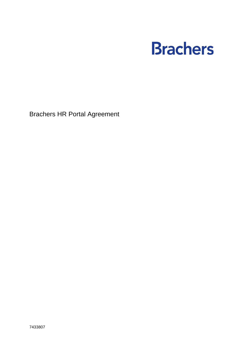# **Brachers**

Brachers HR Portal Agreement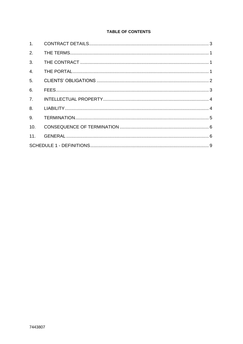# **TABLE OF CONTENTS**

| 1 <sub>1</sub>   |  |  |  |  |
|------------------|--|--|--|--|
| 2.               |  |  |  |  |
| 3.               |  |  |  |  |
| $\overline{4}$ . |  |  |  |  |
| 5 <sub>1</sub>   |  |  |  |  |
| 6.               |  |  |  |  |
| 7 <sub>1</sub>   |  |  |  |  |
| 8.               |  |  |  |  |
| 9.               |  |  |  |  |
| 10.              |  |  |  |  |
| 11.              |  |  |  |  |
|                  |  |  |  |  |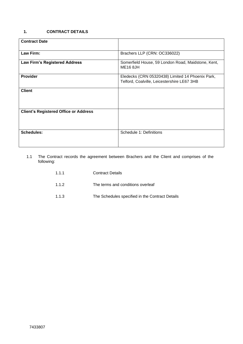# <span id="page-2-0"></span>**1. CONTRACT DETAILS**

| <b>Contract Date</b>                         |                                                                                                 |  |
|----------------------------------------------|-------------------------------------------------------------------------------------------------|--|
| Law Firm:                                    | Brachers LLP (CRN: OC336022)                                                                    |  |
| <b>Law Firm's Registered Address</b>         | Somerfield House, 59 London Road, Maidstone, Kent,<br><b>ME16 8JH</b>                           |  |
| <b>Provider</b>                              | Eledecks (CRN 05320438) Limited 14 Phoenix Park,<br>Telford, Coalville, Leicestershire LE67 3HB |  |
| <b>Client</b>                                |                                                                                                 |  |
| <b>Client's Registered Office or Address</b> |                                                                                                 |  |
| <b>Schedules:</b>                            | Schedule 1: Definitions                                                                         |  |

1.1 The Contract records the agreement between Brachers and the Client and comprises of the following:

| 1.1.1 | <b>Contract Details</b>                         |
|-------|-------------------------------------------------|
| 1.1.2 | The terms and conditions overleaf               |
| 1.1.3 | The Schedules specified in the Contract Details |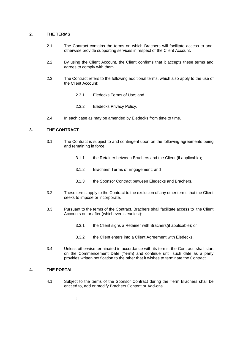#### <span id="page-4-0"></span>**2. THE TERMS**

- 2.1 The Contract contains the terms on which Brachers will facilitate access to and, otherwise provide supporting services in respect of the Client Account.
- 2.2 By using the Client Account, the Client confirms that it accepts these terms and agrees to comply with them.
- 2.3 The Contract refers to the following additional terms, which also apply to the use of the Client Account:
	- 2.3.1 Eledecks Terms of Use; and
	- 2.3.2 Eledecks Privacy Policy.
- 2.4 In each case as may be amended by Eledecks from time to time.

# <span id="page-4-1"></span>**3. THE CONTRACT**

- 3.1 The Contract is subject to and contingent upon on the following agreements being and remaining in force:
	- 3.1.1 the Retainer between Brachers and the Client (if applicable);
	- 3.1.2 Brachers' Terms of Engagement; and
	- 3.1.3 the Sponsor Contract between Eledecks and Brachers.
- 3.2 These terms apply to the Contract to the exclusion of any other terms that the Client seeks to impose or incorporate.
- 3.3 Pursuant to the terms of the Contract, Brachers shall facilitate access to the Client Accounts on or after (whichever is earliest):
	- 3.3.1 the Client signs a Retainer with Brachers(if applicable); or
	- 3.3.2 the Client enters into a Client Agreement with Eledecks.
- 3.4 Unless otherwise terminated in accordance with its terms, the Contract, shall start on the Commencement Date (**Term**) and continue until such date as a party provides written notification to the other that it wishes to terminate the Contract.

# <span id="page-4-2"></span>**4. THE PORTAL**

4.1 Subject to the terms of the Sponsor Contract during the Term Brachers shall be entitled to, add or modify Brachers Content or Add-ons.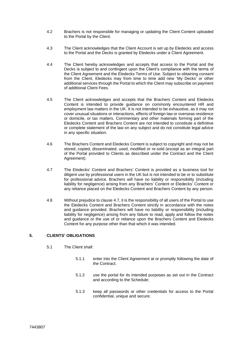- 4.2 Brachers is not responsible for managing or updating the Client Content uploaded to the Portal by the Client.
- 4.3 The Client acknowledges that the Client Account is set up by Eledecks and access to the Portal and the Decks is granted by Eledecks under a Client Agreement.
- 4.4 The Client hereby acknowledges and accepts that access to the Portal and the Decks is subject to and contingent upon the Client's compliance with the terms of the Client Agreement and the Eledecks Terms of Use. Subject to obtaining consent from the Client, Eledecks may from time to time add new 'My Decks' or other additional services through the Portal to which the Client may subscribe on payment of additional Client Fees.
- 4.5 The Client acknowledges and accepts that the Brachers Content and Eledecks Content is intended to provide guidance on commonly encountered HR and employment law matters in the UK. It is not intended to be exhaustive, as it may not cover unusual situations or interactions, effects of foreign law or overseas residence or domicile, or tax matters. Commentary and other materials forming part of the Eledecks Content and Brachers Content are not intended to constitute a definitive or complete statement of the law on any subject and do not constitute legal advice in any specific situation.
- 4.6 The Brachers Content and Eledecks Content is subject to copyright and may not be stored, copied, disseminated, used, modified or re-sold (except as an integral part of the Portal provided to Clients as described under the Contract and the Client Agreement).
- 4.7 The Eledecks' Content and Brachers' Content is provided as a business tool for diligent use by professional users in the UK but is not intended to be or to substitute for professional advice. Brachers will have no liability or responsibility (including liability for negligence) arising from any Brachers' Content or Eledecks' Content or any reliance placed on the Eledecks Content and Brachers Content by any person.
- 4.8 Without prejudice to clause 4.7, it is the responsibility of all users of the Portal to use the Eledecks Content and Brachers Content strictly in accordance with the notes and guidance provided. Brachers will have no liability or responsibility (including liability for negligence) arising from any failure to read, apply and follow the notes and guidance or the use of or reliance upon the Brachers Content and Eledecks Content for any purpose other than that which it was intended.

# <span id="page-5-0"></span>**5. CLIENTS' OBLIGATIONS**

- 5.1 The Client shall:
	- 5.1.1 enter into the Client Agreement at or promptly following the date of the Contract;
	- 5.1.2 use the portal for its intended purposes as set out in the Contract and according to the Schedule;
	- 5.1.3 keep all passwords or other credentials for access to the Portal confidential, unique and secure;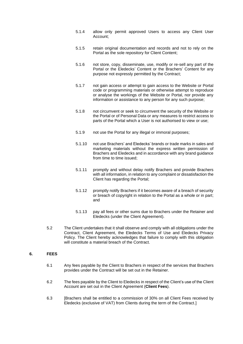- 5.1.4 allow only permit approved Users to access any Client User Account;
- 5.1.5 retain original documentation and records and not to rely on the Portal as the sole repository for Client Content;
- 5.1.6 not store, copy, disseminate, use, modify or re-sell any part of the Portal or the Eledecks' Content or the Brachers' Content for any purpose not expressly permitted by the Contract;
- 5.1.7 not gain access or attempt to gain access to the Website or Portal code or programming materials or otherwise attempt to reproduce or analyse the workings of the Website or Portal, nor provide any information or assistance to any person for any such purpose;
- 5.1.8 not circumvent or seek to circumvent the security of the Website or the Portal or of Personal Data or any measures to restrict access to parts of the Portal which a User is not authorised to view or use;
- 5.1.9 not use the Portal for any illegal or immoral purposes;
- 5.1.10 not use Brachers' and Eledecks' brands or trade marks in sales and marketing materials without the express written permission of Brachers and Eledecks and in accordance with any brand guidance from time to time issued;
- 5.1.11 promptly and without delay notify Brachers and provide Brachers with all information, in relation to any complaint or dissatisfaction the Client has regarding the Portal;
- 5.1.12 promptly notify Brachers if it becomes aware of a breach of security or breach of copyright in relation to the Portal as a whole or in part; and
- 5.1.13 pay all fees or other sums due to Brachers under the Retainer and Eledecks (under the Client Agreement).
- 5.2 The Client undertakes that it shall observe and comply with all obligations under the Contract, Client Agreement, the Eledecks Terms of Use and Eledecks Privacy Policy. The Client hereby acknowledges that failure to comply with this obligation will constitute a material breach of the Contract.

#### <span id="page-6-0"></span>**6. FEES**

- 6.1 Any fees payable by the Client to Brachers in respect of the services that Brachers provides under the Contract will be set out in the Retainer.
- 6.2 The fees payable by the Client to Eledecks in respect of the Client's use of the Client Account are set out in the Client Agreement (**Client Fees**).
- 6.3 [Brachers shall be entitled to a commission of 30% on all Client Fees received by Eledecks (exclusive of VAT) from Clients during the term of the Contract.]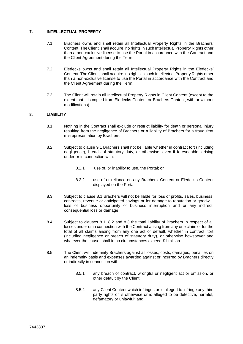# <span id="page-7-0"></span>**7. INTELLECTUAL PROPERTY**

- 7.1 Brachers owns and shall retain all Intellectual Property Rights in the Brachers' Content. The Client, shall acquire, no rights in such Intellectual Property Rights other than a non-exclusive license to use the Portal in accordance with the Contract and the Client Agreement during the Term.
- 7.2 Eledecks owns and shall retain all Intellectual Property Rights in the Eledecks' Content. The Client, shall acquire, no rights in such Intellectual Property Rights other than a non-exclusive license to use the Portal in accordance with the Contract and the Client Agreement during the Term.
- 7.3 The Client will retain all Intellectual Property Rights in Client Content (except to the extent that it is copied from Eledecks Content or Brachers Content, with or without modifications).

# <span id="page-7-1"></span>**8. LIABILITY**

- 8.1 Nothing in the Contract shall exclude or restrict liability for death or personal injury resulting from the negligence of Brachers or a liability of Brachers for a fraudulent misrepresentation by Brachers.
- 8.2 Subject to clause 9.1 Brachers shall not be liable whether in contract tort (including negligence), breach of statutory duty, or otherwise, even if foreseeable, arising under or in connection with:
	- 8.2.1 use of, or inability to use, the Portal; or
	- 8.2.2 use of or reliance on any Brachers' Content or Eledecks Content displayed on the Portal.
- 8.3 Subject to clause 8.1 Brachers will not be liable for loss of profits, sales, business, contracts, revenue or anticipated savings or for damage to reputation or goodwill, loss of business opportunity or business interruption and or any indirect, consequential loss or damage.
- 8.4 Subject to clauses 8.1, 8.2 and 8.3 the total liability of Brachers in respect of all losses under or in connection with the Contract arising from any one claim or for the total of all claims arising from any one act or default, whether in contract, tort (including negligence or breach of statutory duty), or otherwise howsoever and whatever the cause, shall in no circumstances exceed £1 million.
- 8.5 The Client will indemnify Brachers against all losses, costs, damages, penalties on an indemnity basis and expenses awarded against or incurred by Brachers directly or indirectly in connection with:
	- 8.5.1 any breach of contract, wrongful or negligent act or omission, or other default by the Client;
	- 8.5.2 any Client Content which infringes or is alleged to infringe any third party rights or is otherwise or is alleged to be defective, harmful, defamatory or unlawful; and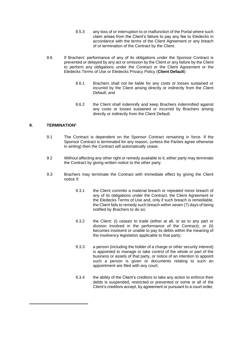- 8.5.3 any loss of or interruption to or malfunction of the Portal where such claim arises from the Client's failure to pay any fee to Eledecks in accordance with the terms of the Client Agreement or any breach of or termination of the Contract by the Client.
- 8.6 If Brachers' performance of any of its obligations under the Sponsor Contract is prevented or delayed by any act or omission by the Client or any failure by the Client to perform any obligations under the Contract or the Client Agreement or the Eledecks Terms of Use or Eledecks Privacy Policy (**Client Default**):
	- 8.6.1 Brachers shall not be liable for any costs or losses sustained or incurred by the Client arising directly or indirectly from the Client Default; and
	- 8.6.2 the Client shall indemnify and keep Brachers indemnified against any costs or losses sustained or incurred by Brachers arising directly or indirectly from the Client Default.

# <span id="page-8-0"></span>**9. TERMINATION<sup>1</sup>**

- 9.1 The Contract is dependent on the Sponsor Contract remaining in force. If the Sponsor Contract is terminated for any reason, (unless the Parties agree otherwise in writing) then the Contract will automatically cease.
- 9.2 Without affecting any other right or remedy available to it, either party may terminate the Contract by giving written notice to the other party.
- 9.3 Brachers may terminate the Contract with immediate effect by giving the Client notice if:
	- 9.3.1 the Client commits a material breach or repeated minor breach of any of its obligations under the Contract, the Client Agreement or the Eledecks Terms of Use and, only if such breach is remediable, the Client fails to remedy such breach within seven (7) days of being notified by Brachers to do so;
	- 9.3.2 the Client: (i) ceases to trade (either at all, or as to any part or division involved in the performance of the Contract); or (ii) becomes insolvent or unable to pay its debts within the meaning of the insolvency legislation applicable to that party;
	- 9.3.3 a person (including the holder of a charge or other security interest) is appointed to manage or take control of the whole or part of the business or assets of that party, or notice of an intention to appoint such a person is given or documents relating to such an appointment are filed with any court;
	- 9.3.4 the ability of the Client's creditors to take any action to enforce their debts is suspended, restricted or prevented or some or all of the Client's creditors accept, by agreement or pursuant to a court order,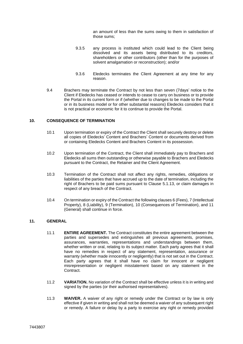an amount of less than the sums owing to them in satisfaction of those sums;

- 9.3.5 any process is instituted which could lead to the Client being dissolved and its assets being distributed to its creditors, shareholders or other contributors (other than for the purposes of solvent amalgamation or reconstruction); and/or
- 9.3.6 Eledecks terminates the Client Agreement at any time for any reason.
- 9.4 Brachers may terminate the Contract by not less than seven (7days' notice to the Client if Eledecks has ceased or intends to cease to carry on business or to provide the Portal in its current form or if (whether due to changes to be made to the Portal or in its business model or for other substantial reasons) Eledecks considers that it is not practical or economic for it to continue to provide the Portal.

# <span id="page-9-0"></span>**10. CONSEQUENCE OF TERMINATION**

- 10.1 Upon termination or expiry of the Contract the Client shall securely destroy or delete all copies of Eledecks' Content and Brachers' Content or documents derived from or containing Eledecks Content and Brachers Content in its possession.
- 10.2 Upon termination of the Contract, the Client shall immediately pay to Brachers and Eledecks all sums then outstanding or otherwise payable to Brachers and Eledecks pursuant to the Contract, the Retainer and the Client Agreement.
- 10.3 Termination of the Contract shall not affect any rights, remedies, obligations or liabilities of the parties that have accrued up to the date of termination, including the right of Brachers to be paid sums pursuant to Clause 5.1.13, or claim damages in respect of any breach of the Contract.
- 10.4 On termination or expiry of the Contract the following clauses 6 (Fees), 7 (Intellectual Property), 8 (Liability), 9 (Termination), 10 (Consequences of Termination), and 11 (General) shall continue in force.

# <span id="page-9-1"></span>**11. GENERAL**

- 11.1 **ENTIRE AGREEMENT.** The Contract constitutes the entire agreement between the parties and supersedes and extinguishes all previous agreements, promises, assurances, warranties, representations and understandings between them, whether written or oral, relating to its subject matter. Each party agrees that it shall have no remedies in respect of any statement, representation, assurance or warranty (whether made innocently or negligently) that is not set out in the Contract. Each party agrees that it shall have no claim for innocent or negligent misrepresentation or negligent misstatement based on any statement in the **Contract.**
- 11.2 **VARIATION.** No variation of the Contract shall be effective unless it is in writing and signed by the parties (or their authorised representatives).
- 11.3 **WAIVER.** A waiver of any right or remedy under the Contract or by law is only effective if given in writing and shall not be deemed a waiver of any subsequent right or remedy. A failure or delay by a party to exercise any right or remedy provided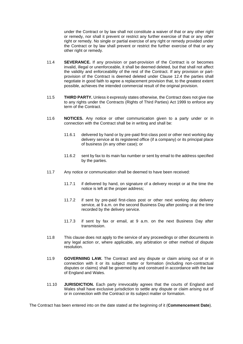under the Contract or by law shall not constitute a waiver of that or any other right or remedy, nor shall it prevent or restrict any further exercise of that or any other right or remedy. No single or partial exercise of any right or remedy provided under the Contract or by law shall prevent or restrict the further exercise of that or any other right or remedy.

- 11.4 **SEVERANCE.** If any provision or part-provision of the Contract is or becomes invalid, illegal or unenforceable, it shall be deemed deleted, but that shall not affect the validity and enforceability of the rest of the Contract. If any provision or partprovision of the Contract is deemed deleted under Clause 12.4 the parties shall negotiate in good faith to agree a replacement provision that, to the greatest extent possible, achieves the intended commercial result of the original provision.
- 11.5 **THIRD PARTY.** Unless it expressly states otherwise, the Contract does not give rise to any rights under the Contracts (Rights of Third Parties) Act 1999 to enforce any term of the Contract.
- 11.6 **NOTICES.** Any notice or other communication given to a party under or in connection with the Contract shall be in writing and shall be:
	- 11.6.1 delivered by hand or by pre-paid first-class post or other next working day delivery service at its registered office (if a company) or its principal place of business (in any other case); or
	- 11.6.2 sent by fax to its main fax number or sent by email to the address specified by the parties.
- 11.7 Any notice or communication shall be deemed to have been received:
	- 11.7.1 if delivered by hand, on signature of a delivery receipt or at the time the notice is left at the proper address;
	- 11.7.2 if sent by pre-paid first-class post or other next working day delivery service, at 9 a.m. on the second Business Day after posting or at the time recorded by the delivery service.
	- 11.7.3 if sent by fax or email, at 9 a.m. on the next Business Day after transmission.
- 11.8 This clause does not apply to the service of any proceedings or other documents in any legal action or, where applicable, any arbitration or other method of dispute resolution.
- 11.9 **GOVERNIING LAW.** The Contract and any dispute or claim arising out of or in connection with it or its subject matter or formation (including non-contractual disputes or claims) shall be governed by and construed in accordance with the law of England and Wales.
- 11.10 **JURISDICTION.** Each party irrevocably agrees that the courts of England and Wales shall have exclusive jurisdiction to settle any dispute or claim arising out of or in connection with the Contract or its subject matter or formation.

The Contract has been entered into on the date stated at the beginning of it (**Commencement Date**).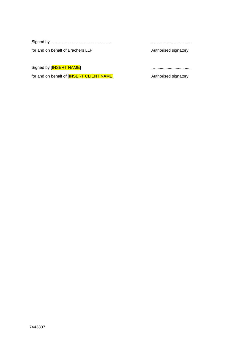|--|--|--|--|

for and on behalf of Brachers LLP

Signed by [INSERT NAME]

for and on behalf of [INSERT CLIENT NAME]

…................................

Authorised signatory

…................................

Authorised signatory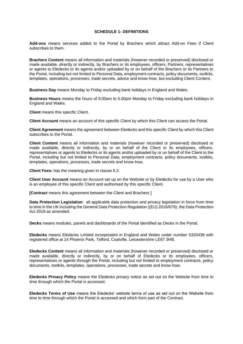#### **SCHEDULE 1- DEFINITIONS**

<span id="page-12-0"></span>**Add-ons** means services added to the Portal by Brachers which attract Add-on Fees if Client subscribes to them.

**Brachers Content** means all information and materials (however recorded or preserved) disclosed or made available, directly or indirectly, by Brachers or its employees, officers, Partners, representatives or agents to Eledecks or its agents and/or uploaded by or on behalf of the Brachers or its Partners to the Portal, including but not limited to Personal Data, employment contracts, policy documents, toolkits, templates, operations, processes, trade secrets, advice and know-how, but excluding Client Content.

**Business Day** means Monday to Friday excluding bank holidays in England and Wales.

**Business Hours** means the hours of 9.00am to 5.00pm Monday to Friday excluding bank holidays in England and Wales.

**Client** means this specific Client.

**Client Account** means an account of this specific Client by which this Client can access the Portal.

**Client Agreement** means the agreement between Eledecks and this specific Client by which this Client subscribes to the Portal.

**Client Content** means all information and materials (however recorded or preserved) disclosed or made available, directly or indirectly, by or on behalf of the Client or its employees, officers, representatives or agents to Eledecks or its agents and/or uploaded by or on behalf of the Client to the Portal, including but not limited to Personal Data, employment contracts, policy documents, toolkits, templates, operations, processes, trade secrets and know-how.

**Client Fees:** has the meaning given in clause 6.2.

**Client User Account** means an Account set up on the Website or by Eledecks for use by a User who is an employee of this specific Client and authorised by this specific Client.

**[Contract** means this agreement between the Client and Brachers.]

**Data Protection Legislation**: all applicable data protection and privacy legislation in force from time to time in the UK including the General Data Protection Regulation ((EU) 2016/679); the Data Protection Act 2018 as amended.

**Decks** means modules, panels and dashboards of the Portal identified as Decks in the Portal.

**Eledecks** means Eledecks Limited incorporated in England and Wales under number 5320438 with registered office at 14 Phoenix Park, Telford, Coalville, Leicestershire LE67 3HB.

**Eledecks Content** means all information and materials (however recorded or preserved) disclosed or made available, directly or indirectly, by or on behalf of Eledecks or its employees, officers, representatives or agents through the Portal, including but not limited to employment contracts, policy documents, toolkits, templates, operations, processes, trade secrets and know-how.

**Eledecks Privacy Policy** means the Eledecks privacy notice as set out on the Website from time to time through which the Portal is accessed.

**Eledecks Terms of Use** means the Eledecks' website terms of use as set out on the Website from time to time through which the Portal is accessed and which form part of the Contract.